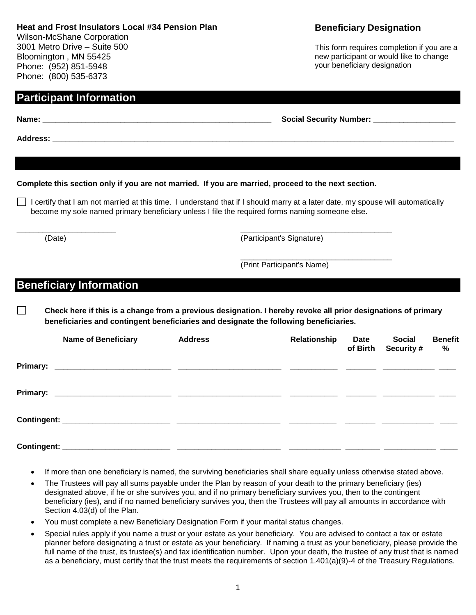### **Heat and Frost Insulators Local #34 Pension Plan**

 $\blacktriangle$  Address:

Wilson-McShane Corporation 3001 Metro Drive – Suite 500 Bloomington , MN 55425 Phone: (952) 851-5948 Phone: (800) 535-6373

**Participant Information**

# **Complete this section only if you are not married. If you are married, proceed to the next section.**  $\Box$  I certify that I am not married at this time. I understand that if I should marry at a later date, my spouse will automatically become my sole named primary beneficiary unless I file the required forms naming someone else. \_\_\_\_\_\_\_\_\_\_\_\_\_\_\_\_\_\_\_\_\_\_\_ \_\_\_\_\_\_\_\_\_\_\_\_\_\_\_\_\_\_\_\_\_\_\_\_\_\_\_\_\_\_\_\_\_\_\_ (Date) (Participant's Signature) \_\_\_\_\_\_\_\_\_\_\_\_\_\_\_\_\_\_\_\_\_\_\_\_\_\_\_\_\_\_\_\_\_\_\_ (Print Participant's Name) **Beneficiary Information**  $\Box$ **beneficiaries and contingent beneficiaries and designate the following beneficiaries. Name of Beneficiary Address Relationship Date Social Benefit of Birth Security # Primary: \_\_\_\_\_\_\_\_\_\_\_\_\_\_\_\_\_\_\_\_\_\_\_\_\_\_\_ \_\_\_\_\_\_\_\_\_\_\_\_\_\_\_\_\_\_\_\_\_\_\_\_ \_\_\_\_\_\_\_\_\_\_\_ \_\_\_\_\_\_\_ \_\_\_\_\_\_\_\_\_\_\_\_ \_\_\_\_ Primary: \_\_\_\_\_\_\_\_\_\_\_\_\_\_\_\_\_\_\_\_\_\_\_\_\_\_\_ \_\_\_\_\_\_\_\_\_\_\_\_\_\_\_\_\_\_\_\_\_\_\_\_ \_\_\_\_\_\_\_\_\_\_\_ \_\_\_\_\_\_\_ \_\_\_\_\_\_\_\_\_\_\_\_ \_\_\_\_ Contingent: \_\_\_\_\_\_\_\_\_\_\_\_\_\_\_\_\_\_\_\_\_\_\_\_\_ \_\_\_\_\_\_\_\_\_\_\_\_\_\_\_\_\_\_\_\_\_\_\_\_ \_\_\_\_\_\_\_\_\_\_\_ \_\_\_\_\_\_\_ \_\_\_\_\_\_\_\_\_\_\_\_ \_\_\_\_ Contingent: \_\_\_\_\_\_\_\_\_\_\_\_\_\_\_\_\_\_\_\_\_\_\_\_\_ \_\_\_\_\_\_\_\_\_\_\_\_\_\_\_\_\_\_\_\_\_\_\_\_ \_\_\_\_\_\_\_\_\_\_\_\_ \_\_\_\_\_\_\_\_ \_\_\_\_\_\_\_\_\_\_\_\_ \_\_\_\_** The Trustees will pay all sums payable under the Plan by reason of your death to the primary beneficiary (ies) designated above, if he or she survives you, and if no primary beneficiary survives you, then to the contingent Section 4.03(d) of the Plan. You must complete a new Beneficiary Designation Form if your marital status changes.

**Beneficiary Designation**

This form requires completion if you are a new participant or would like to change your beneficiary designation

**%**

**Name: \_\_\_\_\_\_\_\_\_\_\_\_\_\_\_\_\_\_\_\_\_\_\_\_\_\_\_\_\_\_\_\_\_\_\_\_\_\_\_\_\_\_\_\_\_\_\_\_\_\_\_\_\_ Social Security Number: \_\_\_\_\_\_\_\_\_\_\_\_\_\_\_\_\_\_\_**

**Check here if this is a change from a previous designation. I hereby revoke all prior designations of primary** 

- If more than one beneficiary is named, the surviving beneficiaries shall share equally unless otherwise stated above.
- beneficiary (ies), and if no named beneficiary survives you, then the Trustees will pay all amounts in accordance with
- Special rules apply if you name a trust or your estate as your beneficiary. You are advised to contact a tax or estate planner before designating a trust or estate as your beneficiary. If naming a trust as your beneficiary, please provide the full name of the trust, its trustee(s) and tax identification number. Upon your death, the trustee of any trust that is named as a beneficiary, must certify that the trust meets the requirements of section 1.401(a)(9)-4 of the Treasury Regulations.